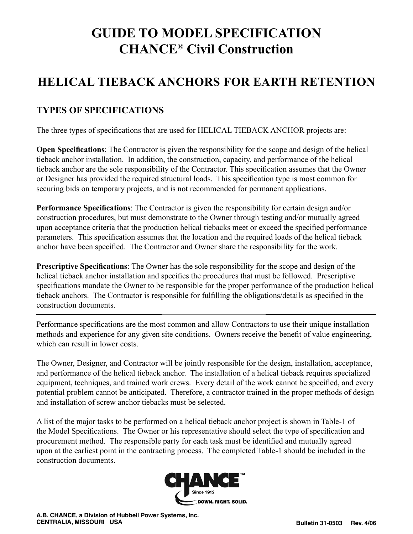## **GUIDE TO MODEL SPECIFICATION CHANCE® Civil Construction**

## **HELICAL TIEBACK ANCHORS FOR EARTH RETENTION**

#### **TYPES OF SPECIFICATIONS**

The three types of specifications that are used for HELICAL TIEBACK ANCHOR projects are:

**Open Specifications**: The Contractor is given the responsibility for the scope and design of the helical tieback anchor installation. In addition, the construction, capacity, and performance of the helical tieback anchor are the sole responsibility of the Contractor. This specification assumes that the Owner or Designer has provided the required structural loads. This specification type is most common for securing bids on temporary projects, and is not recommended for permanent applications.

**Performance Specifications**: The Contractor is given the responsibility for certain design and/or construction procedures, but must demonstrate to the Owner through testing and/or mutually agreed upon acceptance criteria that the production helical tiebacks meet or exceed the specified performance parameters. This specification assumes that the location and the required loads of the helical tieback anchor have been specified. The Contractor and Owner share the responsibility for the work.

**Prescriptive Specifications**: The Owner has the sole responsibility for the scope and design of the helical tieback anchor installation and specifies the procedures that must be followed. Prescriptive specifications mandate the Owner to be responsible for the proper performance of the production helical tieback anchors. The Contractor is responsible for fulfilling the obligations/details as specified in the construction documents.

Performance specifications are the most common and allow Contractors to use their unique installation methods and experience for any given site conditions. Owners receive the benefit of value engineering, which can result in lower costs.

The Owner, Designer, and Contractor will be jointly responsible for the design, installation, acceptance, and performance of the helical tieback anchor. The installation of a helical tieback requires specialized equipment, techniques, and trained work crews. Every detail of the work cannot be specified, and every potential problem cannot be anticipated. Therefore, a contractor trained in the proper methods of design and installation of screw anchor tiebacks must be selected.

A list of the major tasks to be performed on a helical tieback anchor project is shown in Table-1 of the Model Specifications. The Owner or his representative should select the type of specification and procurement method. The responsible party for each task must be identified and mutually agreed upon at the earliest point in the contracting process. The completed Table-1 should be included in the construction documents.

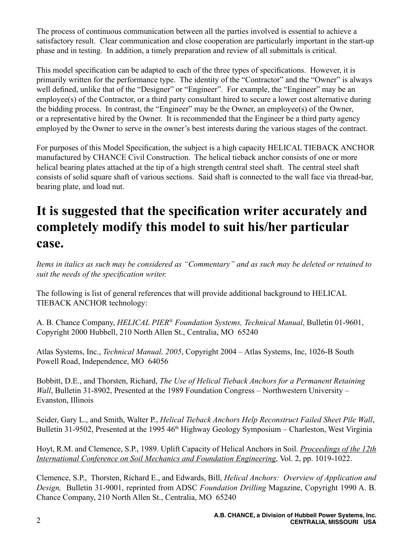The process of continuous communication between all the parties involved is essential to achieve a satisfactory result. Clear communication and close cooperation are particularly important in the start-up phase and in testing. In addition, a timely preparation and review of all submittals is critical.

This model specification can be adapted to each of the three types of specifications. However, it is primarily written for the performance type. The identity of the "Contractor" and the "Owner" is always well defined, unlike that of the "Designer" or "Engineer". For example, the "Engineer" may be an employee(s) of the Contractor, or a third party consultant hired to secure a lower cost alternative during the bidding process. In contrast, the "Engineer" may be the Owner, an employee(s) of the Owner, or a representative hired by the Owner. It is recommended that the Engineer be a third party agency employed by the Owner to serve in the owner's best interests during the various stages of the contract.

For purposes of this Model Specification, the subject is a high capacity HELICAL TIEBACK ANCHOR manufactured by CHANCE Civil Construction. The helical tieback anchor consists of one or more helical bearing plates attached at the tip of a high strength central steel shaft. The central steel shaft consists of solid square shaft of various sections. Said shaft is connected to the wall face via thread-bar, bearing plate, and load nut.

## **It is suggested that the specification writer accurately and completely modify this model to suit his/her particular case.**

*Items in italics as such may be considered as "Commentary" and as such may be deleted or retained to suit the needs of the specification writer.*

The following is list of general references that will provide additional background to HELICAL TIEBACK ANCHOR technology:

A. B. Chance Company, *HELICAL PIER® Foundation Systems, Technical Manual*, Bulletin 01-9601, Copyright 2000 Hubbell, 210 North Allen St., Centralia, MO 65240

Atlas Systems, Inc., *Technical Manual, 2005*, Copyright 2004 – Atlas Systems, Inc, 1026-B South Powell Road, Independence, MO 64056

Bobbitt, D.E., and Thorsten, Richard, *The Use of Helical Tieback Anchors for a Permanent Retaining Wall*, Bulletin 31-8902, Presented at the 1989 Foundation Congress – Northwestern University – Evanston, Illinois

Seider, Gary L., and Smith, Walter P., *Helical Tieback Anchors Help Reconstruct Failed Sheet Pile Wall*, Bulletin 31-9502, Presented at the 1995 46<sup>th</sup> Highway Geology Symposium – Charleston, West Virginia

Hoyt, R.M. and Clemence, S.P., 1989. Uplift Capacity of Helical Anchors in Soil. *Proceedings of the 12th International Conference on Soil Mechanics and Foundation Engineering*, Vol. 2, pp. 1019-1022.

Clemence, S.P., Thorsten, Richard E., and Edwards, Bill, *Helical Anchors: Overview of Application and Design,* Bulletin 31-9001, reprinted from ADSC *Foundation Drilling* Magazine, Copyright 1990 A. B. Chance Company, 210 North Allen St., Centralia, MO 65240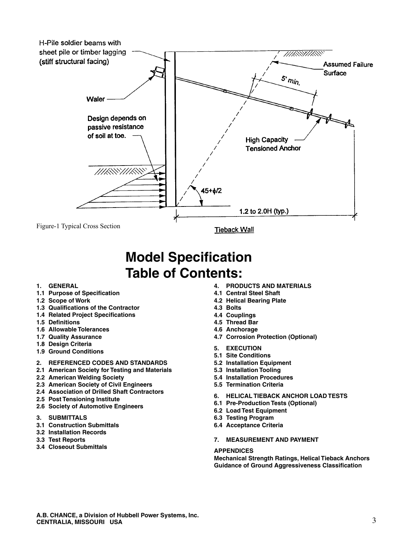

## **Model Specification Table of Contents:**

#### **1. GENERAL**

- **1.1 Purpose of Specification**
- **1.2 Scope of Work**
- **1.3 Qualifications of the Contractor**
- **1.4 Related Project Specifications**
- **1.5 Definitions**
- **1.6 Allowable Tolerances**
- **1.7 Quality Assurance**
- **1.8 Design Criteria**
- **1.9 Ground Conditions**
- **2. REFERENCED CODES AND STANDARDS**
- **2.1 American Society for Testing and Materials**
- **2.2 American Welding Society**
- **2.3 American Society of Civil Engineers**
- **2.4 Association of Drilled Shaft Contractors**
- **2.5 Post Tensioning Institute**
- **2.6 Society of Automotive Engineers**
- **3. SUBMITTALS**
- **3.1 Construction Submittals**
- **3.2 Installation Records**
- **3.3 Test Reports**
- **3.4 Closeout Submittals**
- **4. PRODUCTS AND MATERIALS**
- **4.1 Central Steel Shaft**
- **4.2 Helical Bearing Plate**
- **4.3 Bolts**
- **4.4 Couplings**
- **4.5 Thread Bar**
- **4.6 Anchorage**
- **4.7 Corrosion Protection (Optional)**
- **5. EXECUTION**
- **5.1 Site Conditions**
- **5.2 Installation Equipment**
- **5.3 Installation Tooling**
- **5.4 Installation Procedures**
- **5.5 Termination Criteria**
- **6. HELICAL TIEBACK ANCHOR LOAD TESTS**
- **6.1 Pre-Production Tests (Optional)**
- **6.2 Load Test Equipment**
- **6.3 Testing Program**
- **6.4 Acceptance Criteria**
- **7. MEASUREMENT AND PAYMENT**

#### **APPENDICES**

**Mechanical Strength Ratings, Helical Tieback Anchors Guidance of Ground Aggressiveness Classification**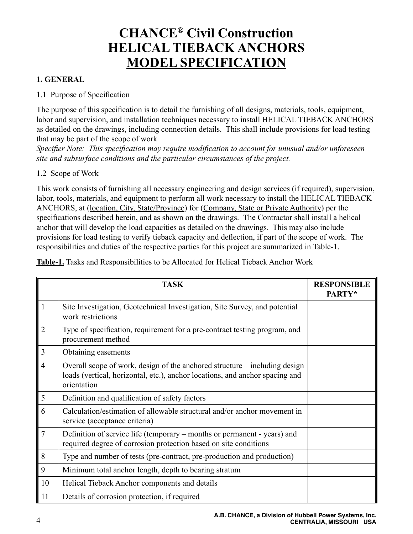## **CHANCE® Civil Construction HELICAL TIEBACK ANCHORS MODEL SPECIFICATION**

#### **1. GENERAL**

#### 1.1 Purpose of Specification

The purpose of this specification is to detail the furnishing of all designs, materials, tools, equipment, labor and supervision, and installation techniques necessary to install HELICAL TIEBACK ANCHORS as detailed on the drawings, including connection details. This shall include provisions for load testing that may be part of the scope of work

*Specifier Note: This specification may require modification to account for unusual and/or unforeseen site and subsurface conditions and the particular circumstances of the project.*

#### 1.2 Scope of Work

This work consists of furnishing all necessary engineering and design services (if required), supervision, labor, tools, materials, and equipment to perform all work necessary to install the HELICAL TIEBACK ANCHORS, at (location, City, State/Province) for (Company, State or Private Authority) per the specifications described herein, and as shown on the drawings. The Contractor shall install a helical anchor that will develop the load capacities as detailed on the drawings. This may also include provisions for load testing to verify tieback capacity and deflection, if part of the scope of work. The responsibilities and duties of the respective parties for this project are summarized in Table-1.

**Table-1.** Tasks and Responsibilities to be Allocated for Helical Tieback Anchor Work

|                | <b>TASK</b>                                                                                                                                                               | <b>RESPONSIBLE</b><br>PARTY* |
|----------------|---------------------------------------------------------------------------------------------------------------------------------------------------------------------------|------------------------------|
| $\mathbf{1}$   | Site Investigation, Geotechnical Investigation, Site Survey, and potential<br>work restrictions                                                                           |                              |
| $\overline{2}$ | Type of specification, requirement for a pre-contract testing program, and<br>procurement method                                                                          |                              |
| 3              | Obtaining easements                                                                                                                                                       |                              |
| $\overline{4}$ | Overall scope of work, design of the anchored structure – including design<br>loads (vertical, horizontal, etc.), anchor locations, and anchor spacing and<br>orientation |                              |
| 5              | Definition and qualification of safety factors                                                                                                                            |                              |
| 6              | Calculation/estimation of allowable structural and/or anchor movement in<br>service (acceptance criteria)                                                                 |                              |
| $\overline{7}$ | Definition of service life (temporary – months or permanent - years) and<br>required degree of corrosion protection based on site conditions                              |                              |
| 8              | Type and number of tests (pre-contract, pre-production and production)                                                                                                    |                              |
| 9              | Minimum total anchor length, depth to bearing stratum                                                                                                                     |                              |
| 10             | Helical Tieback Anchor components and details                                                                                                                             |                              |
| 11             | Details of corrosion protection, if required                                                                                                                              |                              |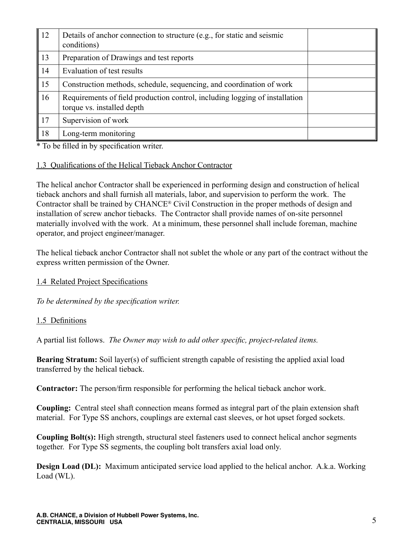| $\parallel$ 12 | Details of anchor connection to structure (e.g., for static and seismic<br>conditions)                    |  |
|----------------|-----------------------------------------------------------------------------------------------------------|--|
| 13             | Preparation of Drawings and test reports                                                                  |  |
| 14             | Evaluation of test results                                                                                |  |
| $\vert$ 15     | Construction methods, schedule, sequencing, and coordination of work                                      |  |
| 16             | Requirements of field production control, including logging of installation<br>torque vs. installed depth |  |
| <sup>17</sup>  | Supervision of work                                                                                       |  |
| 18             | Long-term monitoring                                                                                      |  |

\* To be filled in by specification writer.

#### 1.3 Qualifications of the Helical Tieback Anchor Contractor

The helical anchor Contractor shall be experienced in performing design and construction of helical tieback anchors and shall furnish all materials, labor, and supervision to perform the work. The Contractor shall be trained by CHANCE® Civil Construction in the proper methods of design and installation of screw anchor tiebacks. The Contractor shall provide names of on-site personnel materially involved with the work. At a minimum, these personnel shall include foreman, machine operator, and project engineer/manager.

The helical tieback anchor Contractor shall not sublet the whole or any part of the contract without the express written permission of the Owner.

#### 1.4 Related Project Specifications

*To be determined by the specification writer.*

#### 1.5 Definitions

A partial list follows. *The Owner may wish to add other specific, project-related items.*

**Bearing Stratum:** Soil layer(s) of sufficient strength capable of resisting the applied axial load transferred by the helical tieback.

**Contractor:** The person/firm responsible for performing the helical tieback anchor work.

**Coupling:** Central steel shaft connection means formed as integral part of the plain extension shaft material. For Type SS anchors, couplings are external cast sleeves, or hot upset forged sockets.

**Coupling Bolt(s):** High strength, structural steel fasteners used to connect helical anchor segments together. For Type SS segments, the coupling bolt transfers axial load only.

**Design Load (DL):** Maximum anticipated service load applied to the helical anchor. A.k.a. Working Load (WL).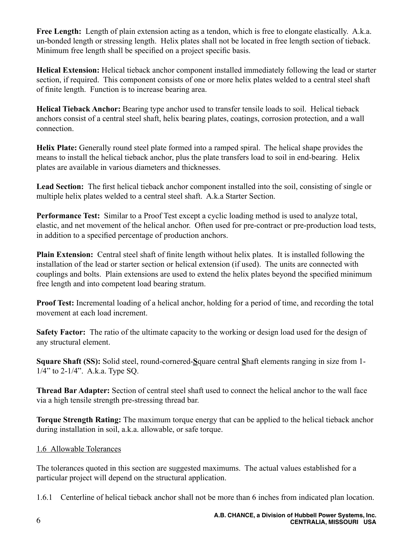Free Length: Length of plain extension acting as a tendon, which is free to elongate elastically. A.k.a. un-bonded length or stressing length. Helix plates shall not be located in free length section of tieback. Minimum free length shall be specified on a project specific basis.

**Helical Extension:** Helical tieback anchor component installed immediately following the lead or starter section, if required. This component consists of one or more helix plates welded to a central steel shaft of finite length. Function is to increase bearing area.

**Helical Tieback Anchor:** Bearing type anchor used to transfer tensile loads to soil. Helical tieback anchors consist of a central steel shaft, helix bearing plates, coatings, corrosion protection, and a wall connection.

**Helix Plate:** Generally round steel plate formed into a ramped spiral. The helical shape provides the means to install the helical tieback anchor, plus the plate transfers load to soil in end-bearing. Helix plates are available in various diameters and thicknesses.

**Lead Section:** The first helical tieback anchor component installed into the soil, consisting of single or multiple helix plates welded to a central steel shaft. A.k.a Starter Section.

**Performance Test:** Similar to a Proof Test except a cyclic loading method is used to analyze total, elastic, and net movement of the helical anchor. Often used for pre-contract or pre-production load tests, in addition to a specified percentage of production anchors.

**Plain Extension:** Central steel shaft of finite length without helix plates. It is installed following the installation of the lead or starter section or helical extension (if used). The units are connected with couplings and bolts. Plain extensions are used to extend the helix plates beyond the specified minimum free length and into competent load bearing stratum.

**Proof Test:** Incremental loading of a helical anchor, holding for a period of time, and recording the total movement at each load increment.

**Safety Factor:** The ratio of the ultimate capacity to the working or design load used for the design of any structural element.

**Square Shaft (SS):** Solid steel, round-cornered-**S**quare central **S**haft elements ranging in size from 1- 1/4" to 2-1/4". A.k.a. Type SQ.

**Thread Bar Adapter:** Section of central steel shaft used to connect the helical anchor to the wall face via a high tensile strength pre-stressing thread bar.

**Torque Strength Rating:** The maximum torque energy that can be applied to the helical tieback anchor during installation in soil, a.k.a. allowable, or safe torque.

#### 1.6 Allowable Tolerances

The tolerances quoted in this section are suggested maximums. The actual values established for a particular project will depend on the structural application.

1.6.1 Centerline of helical tieback anchor shall not be more than 6 inches from indicated plan location.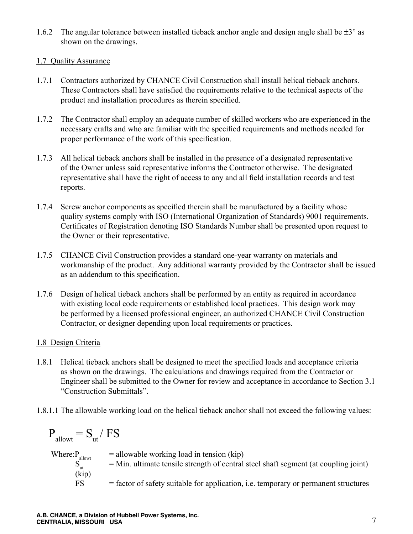1.6.2 The angular tolerance between installed tieback anchor angle and design angle shall be  $\pm 3^{\circ}$  as shown on the drawings.

#### 1.7 Quality Assurance

- 1.7.1 Contractors authorized by CHANCE Civil Construction shall install helical tieback anchors. These Contractors shall have satisfied the requirements relative to the technical aspects of the product and installation procedures as therein specified.
- 1.7.2 The Contractor shall employ an adequate number of skilled workers who are experienced in the necessary crafts and who are familiar with the specified requirements and methods needed for proper performance of the work of this specification.
- 1.7.3 All helical tieback anchors shall be installed in the presence of a designated representative of the Owner unless said representative informs the Contractor otherwise. The designated representative shall have the right of access to any and all field installation records and test reports.
- 1.7.4 Screw anchor components as specified therein shall be manufactured by a facility whose quality systems comply with ISO (International Organization of Standards) 9001 requirements. Certificates of Registration denoting ISO Standards Number shall be presented upon request to the Owner or their representative.
- 1.7.5 CHANCE Civil Construction provides a standard one-year warranty on materials and workmanship of the product. Any additional warranty provided by the Contractor shall be issued as an addendum to this specification.
- 1.7.6 Design of helical tieback anchors shall be performed by an entity as required in accordance with existing local code requirements or established local practices. This design work may be performed by a licensed professional engineer, an authorized CHANCE Civil Construction Contractor, or designer depending upon local requirements or practices.

#### 1.8 Design Criteria

- 1.8.1 Helical tieback anchors shall be designed to meet the specified loads and acceptance criteria as shown on the drawings. The calculations and drawings required from the Contractor or Engineer shall be submitted to the Owner for review and acceptance in accordance to Section 3.1 "Construction Submittals".
- 1.8.1.1 The allowable working load on the helical tieback anchor shall not exceed the following values:

$$
P_{\text{allowt}} = S_{\text{ut}} / FS
$$
  
Where:  

$$
P_{\text{allowt}} = \text{allowable working load in tension (kip)}
$$
  

$$
S_{\text{ut}} = \text{Min. ultimate tensile strength of central steel shaft segment (at coupling joint)}
$$
  
(kip)  
FS = factor of safety suitable for application, i.e. temporary or permanent structures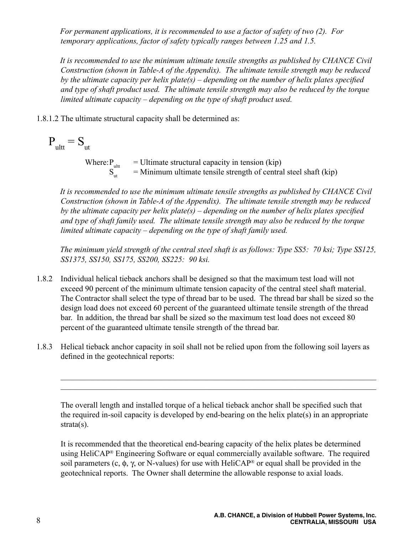*For permanent applications, it is recommended to use a factor of safety of two (2). For temporary applications, factor of safety typically ranges between 1.25 and 1.5.*

*It is recommended to use the minimum ultimate tensile strengths as published by CHANCE Civil Construction (shown in Table-A of the Appendix). The ultimate tensile strength may be reduced by the ultimate capacity per helix plate(s) – depending on the number of helix plates specified and type of shaft product used. The ultimate tensile strength may also be reduced by the torque limited ultimate capacity – depending on the type of shaft product used.*

1.8.1.2 The ultimate structural capacity shall be determined as:

 $P_{\text{ultt}} = S_{\text{ut}}$ 

Where:  $P_{\text{ultr}}$  = Ultimate structural capacity in tension (kip)  $=$  Minimum ultimate tensile strength of central steel shaft (kip)

*It is recommended to use the minimum ultimate tensile strengths as published by CHANCE Civil Construction (shown in Table-A of the Appendix). The ultimate tensile strength may be reduced by the ultimate capacity per helix plate(s) – depending on the number of helix plates specified and type of shaft family used. The ultimate tensile strength may also be reduced by the torque limited ultimate capacity – depending on the type of shaft family used.*

*The minimum yield strength of the central steel shaft is as follows: Type SS5: 70 ksi; Type SS125, SS1375, SS150, SS175, SS200, SS225: 90 ksi.* 

- 1.8.2 Individual helical tieback anchors shall be designed so that the maximum test load will not exceed 90 percent of the minimum ultimate tension capacity of the central steel shaft material. The Contractor shall select the type of thread bar to be used. The thread bar shall be sized so the design load does not exceed 60 percent of the guaranteed ultimate tensile strength of the thread bar. In addition, the thread bar shall be sized so the maximum test load does not exceed 80 percent of the guaranteed ultimate tensile strength of the thread bar.
- 1.8.3 Helical tieback anchor capacity in soil shall not be relied upon from the following soil layers as defined in the geotechnical reports:

The overall length and installed torque of a helical tieback anchor shall be specified such that the required in-soil capacity is developed by end-bearing on the helix plate(s) in an appropriate strata(s).

 $\mathcal{L}_\mathcal{L} = \{ \mathcal{L}_\mathcal{L} = \{ \mathcal{L}_\mathcal{L} = \{ \mathcal{L}_\mathcal{L} = \{ \mathcal{L}_\mathcal{L} = \{ \mathcal{L}_\mathcal{L} = \{ \mathcal{L}_\mathcal{L} = \{ \mathcal{L}_\mathcal{L} = \{ \mathcal{L}_\mathcal{L} = \{ \mathcal{L}_\mathcal{L} = \{ \mathcal{L}_\mathcal{L} = \{ \mathcal{L}_\mathcal{L} = \{ \mathcal{L}_\mathcal{L} = \{ \mathcal{L}_\mathcal{L} = \{ \mathcal{L}_\mathcal{$  $\mathcal{L}_\mathcal{L} = \{ \mathcal{L}_\mathcal{L} = \{ \mathcal{L}_\mathcal{L} = \{ \mathcal{L}_\mathcal{L} = \{ \mathcal{L}_\mathcal{L} = \{ \mathcal{L}_\mathcal{L} = \{ \mathcal{L}_\mathcal{L} = \{ \mathcal{L}_\mathcal{L} = \{ \mathcal{L}_\mathcal{L} = \{ \mathcal{L}_\mathcal{L} = \{ \mathcal{L}_\mathcal{L} = \{ \mathcal{L}_\mathcal{L} = \{ \mathcal{L}_\mathcal{L} = \{ \mathcal{L}_\mathcal{L} = \{ \mathcal{L}_\mathcal{$ 

It is recommended that the theoretical end-bearing capacity of the helix plates be determined using HeliCAP® Engineering Software or equal commercially available software. The required soil parameters (c, φ, γ, or N-values) for use with HeliCAP<sup>®</sup> or equal shall be provided in the geotechnical reports. The Owner shall determine the allowable response to axial loads.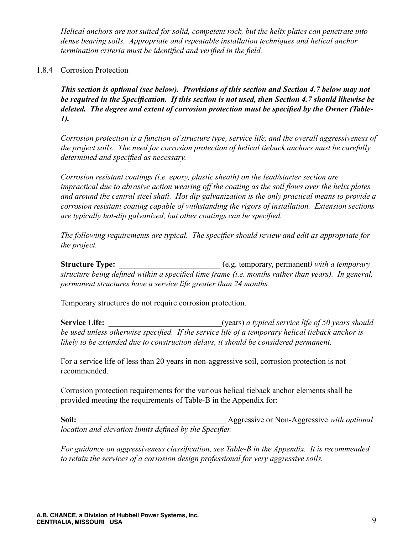*Helical anchors are not suited for solid, competent rock, but the helix plates can penetrate into dense bearing soils. Appropriate and repeatable installation techniques and helical anchor termination criteria must be identified and verified in the field.*

#### 1.8.4 Corrosion Protection

*This section is optional (see below). Provisions of this section and Section 4.7 below may not be required in the Specification. If this section is not used, then Section 4.7 should likewise be deleted. The degree and extent of corrosion protection must be specified by the Owner (Table-1).*

*Corrosion protection is a function of structure type, service life, and the overall aggressiveness of the project soils. The need for corrosion protection of helical tieback anchors must be carefully determined and specified as necessary.*

*Corrosion resistant coatings (i.e. epoxy, plastic sheath) on the lead/starter section are impractical due to abrasive action wearing off the coating as the soil flows over the helix plates and around the central steel shaft. Hot dip galvanization is the only practical means to provide a corrosion resistant coating capable of withstanding the rigors of installation. Extension sections are typically hot-dip galvanized, but other coatings can be specified.*

*The following requirements are typical. The specifier should review and edit as appropriate for the project.*

**Structure Type:** \_\_\_\_\_\_\_\_\_\_\_\_\_\_\_\_\_\_\_\_\_\_\_\_\_ (e.g. temporary, permanent*) with a temporary structure being defined within a specified time frame (i.e. months rather than years). In general, permanent structures have a service life greater than 24 months.*

Temporary structures do not require corrosion protection.

**Service Life:**  $\qquad \qquad \text{(years) a typical service life of 50 years should$ *be used unless otherwise specified. If the service life of a temporary helical tieback anchor is likely to be extended due to construction delays, it should be considered permanent.*

For a service life of less than 20 years in non-aggressive soil, corrosion protection is not recommended.

Corrosion protection requirements for the various helical tieback anchor elements shall be provided meeting the requirements of Table-B in the Appendix for:

**Soil:**  $\qquad \qquad \text{Aggressive or Non-Aggressive with optional$ *location and elevation limits defined by the Specifier.*

*For guidance on aggressiveness classification, see Table-B in the Appendix. It is recommended to retain the services of a corrosion design professional for very aggressive soils.*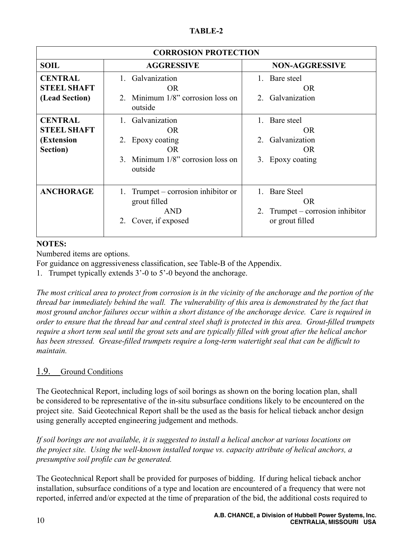| <b>CORROSION PROTECTION</b>                                    |                                                                                                                |                                                                                   |  |  |  |
|----------------------------------------------------------------|----------------------------------------------------------------------------------------------------------------|-----------------------------------------------------------------------------------|--|--|--|
| <b>SOIL</b>                                                    | <b>AGGRESSIVE</b>                                                                                              | <b>NON-AGGRESSIVE</b>                                                             |  |  |  |
| <b>CENTRAL</b><br><b>STEEL SHAFT</b><br>(Lead Section)         | 1. Galvanization<br><b>OR</b><br>2. Minimum $1/8$ " corrosion loss on<br>outside                               | 1. Bare steel<br><b>OR</b><br>2. Galvanization                                    |  |  |  |
| <b>CENTRAL</b><br><b>STEEL SHAFT</b><br>(Extension<br>Section) | 1. Galvanization<br><b>OR</b><br>2. Epoxy coating<br><b>OR</b><br>3. Minimum 1/8" corrosion loss on<br>outside | 1. Bare steel<br><b>OR</b><br>2. Galvanization<br><b>OR</b><br>3. Epoxy coating   |  |  |  |
| <b>ANCHORAGE</b>                                               | Trumpet – corrosion inhibitor or<br>1.<br>grout filled<br><b>AND</b><br>Cover, if exposed<br>2.                | 1. Bare Steel<br><b>OR</b><br>2. Trumpet – corrosion inhibitor<br>or grout filled |  |  |  |

#### **NOTES:**

Numbered items are options.

For guidance on aggressiveness classification, see Table-B of the Appendix.

1. Trumpet typically extends 3'-0 to 5'-0 beyond the anchorage.

*The most critical area to protect from corrosion is in the vicinity of the anchorage and the portion of the thread bar immediately behind the wall. The vulnerability of this area is demonstrated by the fact that most ground anchor failures occur within a short distance of the anchorage device. Care is required in order to ensure that the thread bar and central steel shaft is protected in this area. Grout-filled trumpets require a short term seal until the grout sets and are typically filled with grout after the helical anchor has been stressed. Grease-filled trumpets require a long-term watertight seal that can be difficult to maintain.* 

#### 1.9. Ground Conditions

The Geotechnical Report, including logs of soil borings as shown on the boring location plan, shall be considered to be representative of the in-situ subsurface conditions likely to be encountered on the project site. Said Geotechnical Report shall be the used as the basis for helical tieback anchor design using generally accepted engineering judgement and methods.

*If soil borings are not available, it is suggested to install a helical anchor at various locations on the project site. Using the well-known installed torque vs. capacity attribute of helical anchors, a presumptive soil profile can be generated.*

The Geotechnical Report shall be provided for purposes of bidding. If during helical tieback anchor installation, subsurface conditions of a type and location are encountered of a frequency that were not reported, inferred and/or expected at the time of preparation of the bid, the additional costs required to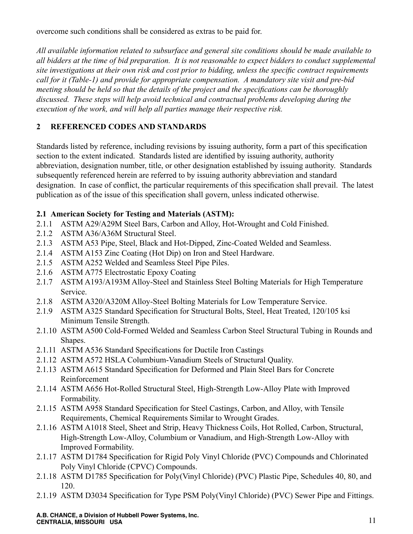overcome such conditions shall be considered as extras to be paid for.

*All available information related to subsurface and general site conditions should be made available to all bidders at the time of bid preparation. It is not reasonable to expect bidders to conduct supplemental site investigations at their own risk and cost prior to bidding, unless the specific contract requirements call for it (Table-1) and provide for appropriate compensation. A mandatory site visit and pre-bid meeting should be held so that the details of the project and the specifications can be thoroughly discussed. These steps will help avoid technical and contractual problems developing during the execution of the work, and will help all parties manage their respective risk.*

#### **2 REFERENCED CODES AND STANDARDS**

Standards listed by reference, including revisions by issuing authority, form a part of this specification section to the extent indicated. Standards listed are identified by issuing authority, authority abbreviation, designation number, title, or other designation established by issuing authority. Standards subsequently referenced herein are referred to by issuing authority abbreviation and standard designation. In case of conflict, the particular requirements of this specification shall prevail. The latest publication as of the issue of this specification shall govern, unless indicated otherwise.

#### **2.1 American Society for Testing and Materials (ASTM):**

- 2.1.1 ASTM A29/A29M Steel Bars, Carbon and Alloy, Hot-Wrought and Cold Finished.
- 2.1.2 ASTM A36/A36M Structural Steel.
- 2.1.3 ASTM A53 Pipe, Steel, Black and Hot-Dipped, Zinc-Coated Welded and Seamless.
- 2.1.4 ASTM A153 Zinc Coating (Hot Dip) on Iron and Steel Hardware.
- 2.1.5 ASTM A252 Welded and Seamless Steel Pipe Piles.
- 2.1.6 ASTM A775 Electrostatic Epoxy Coating
- 2.1.7 ASTM A193/A193M Alloy-Steel and Stainless Steel Bolting Materials for High Temperature Service.
- 2.1.8 ASTM A320/A320M Alloy-Steel Bolting Materials for Low Temperature Service.
- 2.1.9 ASTM A325 Standard Specification for Structural Bolts, Steel, Heat Treated, 120/105 ksi Minimum Tensile Strength.
- 2.1.10 ASTM A500 Cold-Formed Welded and Seamless Carbon Steel Structural Tubing in Rounds and Shapes.
- 2.1.11 ASTM A536 Standard Specifications for Ductile Iron Castings
- 2.1.12 ASTM A572 HSLA Columbium-Vanadium Steels of Structural Quality.
- 2.1.13 ASTM A615 Standard Specification for Deformed and Plain Steel Bars for Concrete Reinforcement
- 2.1.14 ASTM A656 Hot-Rolled Structural Steel, High-Strength Low-Alloy Plate with Improved Formability.
- 2.1.15 ASTM A958 Standard Specification for Steel Castings, Carbon, and Alloy, with Tensile Requirements, Chemical Requirements Similar to Wrought Grades.
- 2.1.16 ASTM A1018 Steel, Sheet and Strip, Heavy Thickness Coils, Hot Rolled, Carbon, Structural, High-Strength Low-Alloy, Columbium or Vanadium, and High-Strength Low-Alloy with Improved Formability.
- 2.1.17 ASTM D1784 Specification for Rigid Poly Vinyl Chloride (PVC) Compounds and Chlorinated Poly Vinyl Chloride (CPVC) Compounds.
- 2.1.18 ASTM D1785 Specification for Poly(Vinyl Chloride) (PVC) Plastic Pipe, Schedules 40, 80, and 120.
- 2.1.19 ASTM D3034 Specification for Type PSM Poly(Vinyl Chloride) (PVC) Sewer Pipe and Fittings.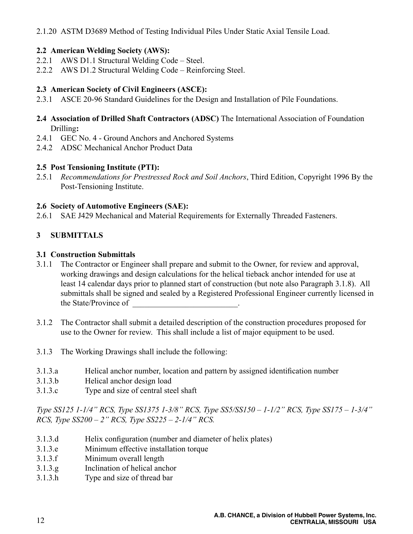2.1.20 ASTM D3689 Method of Testing Individual Piles Under Static Axial Tensile Load.

#### **2.2 American Welding Society (AWS):**

- 2.2.1 AWS D1.1 Structural Welding Code Steel.
- 2.2.2 AWS D1.2 Structural Welding Code Reinforcing Steel.

#### **2.3 American Society of Civil Engineers (ASCE):**

- 2.3.1 ASCE 20-96 Standard Guidelines for the Design and Installation of Pile Foundations.
- **2.4 Association of Drilled Shaft Contractors (ADSC)** The International Association of Foundation Drilling**:**
- 2.4.1 GEC No. 4 Ground Anchors and Anchored Systems
- 2.4.2 ADSC Mechanical Anchor Product Data

#### **2.5 Post Tensioning Institute (PTI):**

2.5.1 *Recommendations for Prestressed Rock and Soil Anchors*, Third Edition, Copyright 1996 By the Post-Tensioning Institute.

#### **2.6 Society of Automotive Engineers (SAE):**

2.6.1 SAE J429 Mechanical and Material Requirements for Externally Threaded Fasteners.

#### **3 SUBMITTALS**

#### **3.1 Construction Submittals**

- 3.1.1 The Contractor or Engineer shall prepare and submit to the Owner, for review and approval, working drawings and design calculations for the helical tieback anchor intended for use at least 14 calendar days prior to planned start of construction (but note also Paragraph 3.1.8). All submittals shall be signed and sealed by a Registered Professional Engineer currently licensed in the State/Province of
- 3.1.2 The Contractor shall submit a detailed description of the construction procedures proposed for use to the Owner for review. This shall include a list of major equipment to be used.
- 3.1.3 The Working Drawings shall include the following:
- 3.1.3.a Helical anchor number, location and pattern by assigned identification number
- 3.1.3.b Helical anchor design load
- 3.1.3.c Type and size of central steel shaft

*Type SS125 1-1/4" RCS, Type SS1375 1-3/8" RCS, Type SS5/SS150 – 1-1/2" RCS, Type SS175 – 1-3/4" RCS, Type SS200 – 2" RCS, Type SS225 – 2-1/4" RCS.*

- 3.1.3.d Helix configuration (number and diameter of helix plates)
- 3.1.3.e Minimum effective installation torque
- 3.1.3.f Minimum overall length
- 3.1.3.g Inclination of helical anchor
- 3.1.3.h Type and size of thread bar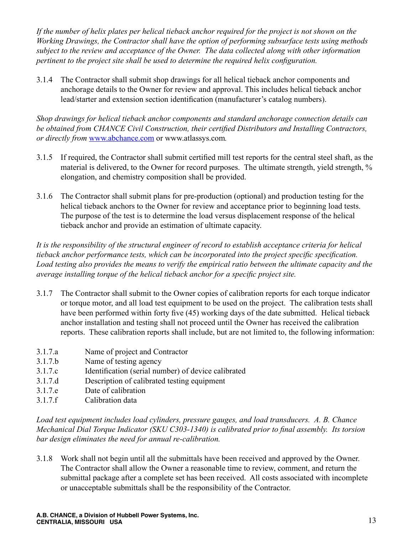*If the number of helix plates per helical tieback anchor required for the project is not shown on the Working Drawings, the Contractor shall have the option of performing subsurface tests using methods subject to the review and acceptance of the Owner. The data collected along with other information pertinent to the project site shall be used to determine the required helix configuration.*

3.1.4 The Contractor shall submit shop drawings for all helical tieback anchor components and anchorage details to the Owner for review and approval. This includes helical tieback anchor lead/starter and extension section identification (manufacturer's catalog numbers).

*Shop drawings for helical tieback anchor components and standard anchorage connection details can be obtained from CHANCE Civil Construction, their certified Distributors and Installing Contractors, or directly from* www.abchance.com or www.atlassys.com*.*

- 3.1.5 If required, the Contractor shall submit certified mill test reports for the central steel shaft, as the material is delivered, to the Owner for record purposes. The ultimate strength, yield strength, % elongation, and chemistry composition shall be provided.
- 3.1.6 The Contractor shall submit plans for pre-production (optional) and production testing for the helical tieback anchors to the Owner for review and acceptance prior to beginning load tests. The purpose of the test is to determine the load versus displacement response of the helical tieback anchor and provide an estimation of ultimate capacity.

*It is the responsibility of the structural engineer of record to establish acceptance criteria for helical tieback anchor performance tests, which can be incorporated into the project specific specification. Load testing also provides the means to verify the empirical ratio between the ultimate capacity and the average installing torque of the helical tieback anchor for a specific project site.*

- 3.1.7 The Contractor shall submit to the Owner copies of calibration reports for each torque indicator or torque motor, and all load test equipment to be used on the project. The calibration tests shall have been performed within forty five (45) working days of the date submitted. Helical tieback anchor installation and testing shall not proceed until the Owner has received the calibration reports. These calibration reports shall include, but are not limited to, the following information:
- 3.1.7.a Name of project and Contractor
- 3.1.7.b Name of testing agency
- 3.1.7.c Identification (serial number) of device calibrated
- 3.1.7.d Description of calibrated testing equipment
- 3.1.7.e Date of calibration
- 3.1.7.f Calibration data

*Load test equipment includes load cylinders, pressure gauges, and load transducers. A. B. Chance Mechanical Dial Torque Indicator (SKU C303-1340) is calibrated prior to final assembly. Its torsion bar design eliminates the need for annual re-calibration.*

3.1.8 Work shall not begin until all the submittals have been received and approved by the Owner. The Contractor shall allow the Owner a reasonable time to review, comment, and return the submittal package after a complete set has been received. All costs associated with incomplete or unacceptable submittals shall be the responsibility of the Contractor.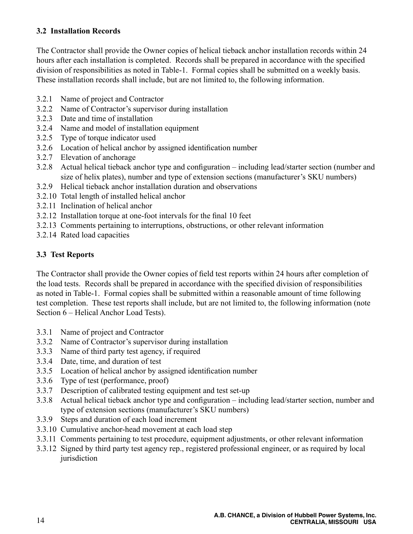#### **3.2 Installation Records**

The Contractor shall provide the Owner copies of helical tieback anchor installation records within 24 hours after each installation is completed. Records shall be prepared in accordance with the specified division of responsibilities as noted in Table-1. Formal copies shall be submitted on a weekly basis. These installation records shall include, but are not limited to, the following information.

- 3.2.1 Name of project and Contractor
- 3.2.2 Name of Contractor's supervisor during installation
- 3.2.3 Date and time of installation
- 3.2.4 Name and model of installation equipment
- 3.2.5 Type of torque indicator used
- 3.2.6 Location of helical anchor by assigned identification number
- 3.2.7 Elevation of anchorage
- 3.2.8 Actual helical tieback anchor type and configuration including lead/starter section (number and size of helix plates), number and type of extension sections (manufacturer's SKU numbers)
- 3.2.9 Helical tieback anchor installation duration and observations
- 3.2.10 Total length of installed helical anchor
- 3.2.11 Inclination of helical anchor
- 3.2.12 Installation torque at one-foot intervals for the final 10 feet
- 3.2.13 Comments pertaining to interruptions, obstructions, or other relevant information
- 3.2.14 Rated load capacities

#### **3.3 Test Reports**

The Contractor shall provide the Owner copies of field test reports within 24 hours after completion of the load tests. Records shall be prepared in accordance with the specified division of responsibilities as noted in Table-1. Formal copies shall be submitted within a reasonable amount of time following test completion. These test reports shall include, but are not limited to, the following information (note Section 6 – Helical Anchor Load Tests).

- 3.3.1 Name of project and Contractor
- 3.3.2 Name of Contractor's supervisor during installation
- 3.3.3 Name of third party test agency, if required
- 3.3.4 Date, time, and duration of test
- 3.3.5 Location of helical anchor by assigned identification number
- 3.3.6 Type of test (performance, proof)
- 3.3.7 Description of calibrated testing equipment and test set-up
- 3.3.8 Actual helical tieback anchor type and configuration including lead/starter section, number and type of extension sections (manufacturer's SKU numbers)
- 3.3.9 Steps and duration of each load increment
- 3.3.10 Cumulative anchor-head movement at each load step
- 3.3.11 Comments pertaining to test procedure, equipment adjustments, or other relevant information
- 3.3.12 Signed by third party test agency rep., registered professional engineer, or as required by local jurisdiction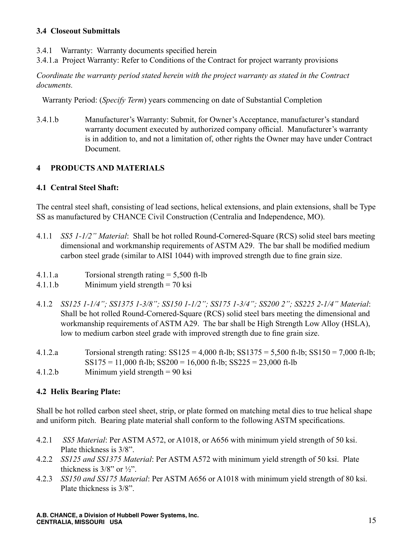#### **3.4 Closeout Submittals**

- 3.4.1 Warranty: Warranty documents specified herein
- 3.4.1.a Project Warranty: Refer to Conditions of the Contract for project warranty provisions

*Coordinate the warranty period stated herein with the project warranty as stated in the Contract documents.*

Warranty Period: (*Specify Term*) years commencing on date of Substantial Completion

3.4.1.b Manufacturer's Warranty: Submit, for Owner's Acceptance, manufacturer's standard warranty document executed by authorized company official. Manufacturer's warranty is in addition to, and not a limitation of, other rights the Owner may have under Contract Document.

#### **4 PRODUCTS AND MATERIALS**

#### **4.1 Central Steel Shaft:**

The central steel shaft, consisting of lead sections, helical extensions, and plain extensions, shall be Type SS as manufactured by CHANCE Civil Construction (Centralia and Independence, MO).

- 4.1.1 *SS5 1-1/2" Material*: Shall be hot rolled Round-Cornered-Square (RCS) solid steel bars meeting dimensional and workmanship requirements of ASTM A29. The bar shall be modified medium carbon steel grade (similar to AISI 1044) with improved strength due to fine grain size.
- 4.1.1.a Torsional strength rating = 5,500 ft-lb
- 4.1.1.b Minimum yield strength = 70 ksi
- 4.1.2 *SS125 1-1/4"; SS1375 1-3/8"; SS150 1-1/2"; SS175 1-3/4"; SS200 2"; SS225 2-1/4" Material*: Shall be hot rolled Round-Cornered-Square (RCS) solid steel bars meeting the dimensional and workmanship requirements of ASTM A29. The bar shall be High Strength Low Alloy (HSLA), low to medium carbon steel grade with improved strength due to fine grain size.
- 4.1.2.a Torsional strength rating: SS125 = 4,000 ft-lb; SS1375 = 5,500 ft-lb; SS150 = 7,000 ft-lb;  $SS175 = 11,000$  ft-lb;  $SS200 = 16,000$  ft-lb;  $SS225 = 23,000$  ft-lb
- 4.1.2.b Minimum yield strength = 90 ksi

#### **4.2 Helix Bearing Plate:**

Shall be hot rolled carbon steel sheet, strip, or plate formed on matching metal dies to true helical shape and uniform pitch. Bearing plate material shall conform to the following ASTM specifications.

- 4.2.1 *SS5 Material*: Per ASTM A572, or A1018, or A656 with minimum yield strength of 50 ksi. Plate thickness is 3/8".
- 4.2.2 *SS125 and SS1375 Material*: Per ASTM A572 with minimum yield strength of 50 ksi. Plate thickness is  $3/8$ " or  $\frac{1}{2}$ ".
- 4.2.3 *SS150 and SS175 Material*: Per ASTM A656 or A1018 with minimum yield strength of 80 ksi. Plate thickness is 3/8".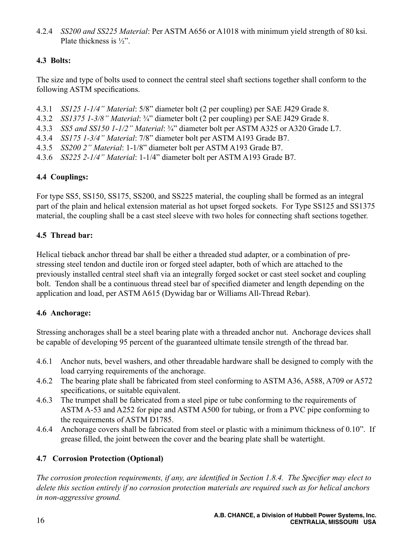4.2.4 *SS200 and SS225 Material*: Per ASTM A656 or A1018 with minimum yield strength of 80 ksi. Plate thickness is ½".

#### **4.3 Bolts:**

The size and type of bolts used to connect the central steel shaft sections together shall conform to the following ASTM specifications.

- 4.3.1 *SS125 1-1/4" Material*: 5/8" diameter bolt (2 per coupling) per SAE J429 Grade 8.
- 4.3.2 *SS1375 1-3/8" Material*: ¾" diameter bolt (2 per coupling) per SAE J429 Grade 8.
- 4.3.3 *SS5 and SS150 1-1/2" Material*: ¾" diameter bolt per ASTM A325 or A320 Grade L7.
- 4.3.4 *SS175 1-3/4" Material*: 7/8" diameter bolt per ASTM A193 Grade B7.
- 4.3.5 *SS200 2" Material*: 1-1/8" diameter bolt per ASTM A193 Grade B7.
- 4.3.6 *SS225 2-1/4" Material*: 1-1/4" diameter bolt per ASTM A193 Grade B7.

#### **4.4 Couplings:**

For type SS5, SS150, SS175, SS200, and SS225 material, the coupling shall be formed as an integral part of the plain and helical extension material as hot upset forged sockets. For Type SS125 and SS1375 material, the coupling shall be a cast steel sleeve with two holes for connecting shaft sections together.

#### **4.5 Thread bar:**

Helical tieback anchor thread bar shall be either a threaded stud adapter, or a combination of prestressing steel tendon and ductile iron or forged steel adapter, both of which are attached to the previously installed central steel shaft via an integrally forged socket or cast steel socket and coupling bolt. Tendon shall be a continuous thread steel bar of specified diameter and length depending on the application and load, per ASTM A615 (Dywidag bar or Williams All-Thread Rebar).

#### **4.6 Anchorage:**

Stressing anchorages shall be a steel bearing plate with a threaded anchor nut. Anchorage devices shall be capable of developing 95 percent of the guaranteed ultimate tensile strength of the thread bar.

- 4.6.1 Anchor nuts, bevel washers, and other threadable hardware shall be designed to comply with the load carrying requirements of the anchorage.
- 4.6.2 The bearing plate shall be fabricated from steel conforming to ASTM A36, A588, A709 or A572 specifications, or suitable equivalent.
- 4.6.3 The trumpet shall be fabricated from a steel pipe or tube conforming to the requirements of ASTM A-53 and A252 for pipe and ASTM A500 for tubing, or from a PVC pipe conforming to the requirements of ASTM D1785.
- 4.6.4 Anchorage covers shall be fabricated from steel or plastic with a minimum thickness of 0.10". If grease filled, the joint between the cover and the bearing plate shall be watertight.

#### **4.7 Corrosion Protection (Optional)**

*The corrosion protection requirements, if any, are identified in Section 1.8.4. The Specifier may elect to delete this section entirely if no corrosion protection materials are required such as for helical anchors in non-aggressive ground.*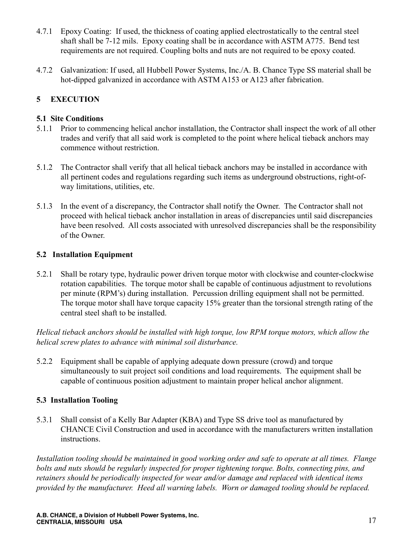- 4.7.1 Epoxy Coating: If used, the thickness of coating applied electrostatically to the central steel shaft shall be 7-12 mils. Epoxy coating shall be in accordance with ASTM A775. Bend test requirements are not required. Coupling bolts and nuts are not required to be epoxy coated.
- 4.7.2 Galvanization: If used, all Hubbell Power Systems, Inc./A. B. Chance Type SS material shall be hot-dipped galvanized in accordance with ASTM A153 or A123 after fabrication.

#### **5 EXECUTION**

#### **5.1 Site Conditions**

- 5.1.1 Prior to commencing helical anchor installation, the Contractor shall inspect the work of all other trades and verify that all said work is completed to the point where helical tieback anchors may commence without restriction.
- 5.1.2 The Contractor shall verify that all helical tieback anchors may be installed in accordance with all pertinent codes and regulations regarding such items as underground obstructions, right-ofway limitations, utilities, etc.
- 5.1.3 In the event of a discrepancy, the Contractor shall notify the Owner. The Contractor shall not proceed with helical tieback anchor installation in areas of discrepancies until said discrepancies have been resolved. All costs associated with unresolved discrepancies shall be the responsibility of the Owner.

#### **5.2 Installation Equipment**

5.2.1 Shall be rotary type, hydraulic power driven torque motor with clockwise and counter-clockwise rotation capabilities. The torque motor shall be capable of continuous adjustment to revolutions per minute (RPM's) during installation. Percussion drilling equipment shall not be permitted. The torque motor shall have torque capacity 15% greater than the torsional strength rating of the central steel shaft to be installed.

*Helical tieback anchors should be installed with high torque, low RPM torque motors, which allow the helical screw plates to advance with minimal soil disturbance.*

5.2.2 Equipment shall be capable of applying adequate down pressure (crowd) and torque simultaneously to suit project soil conditions and load requirements. The equipment shall be capable of continuous position adjustment to maintain proper helical anchor alignment.

#### **5.3 Installation Tooling**

5.3.1 Shall consist of a Kelly Bar Adapter (KBA) and Type SS drive tool as manufactured by CHANCE Civil Construction and used in accordance with the manufacturers written installation instructions.

*Installation tooling should be maintained in good working order and safe to operate at all times. Flange bolts and nuts should be regularly inspected for proper tightening torque. Bolts, connecting pins, and retainers should be periodically inspected for wear and/or damage and replaced with identical items provided by the manufacturer. Heed all warning labels. Worn or damaged tooling should be replaced.*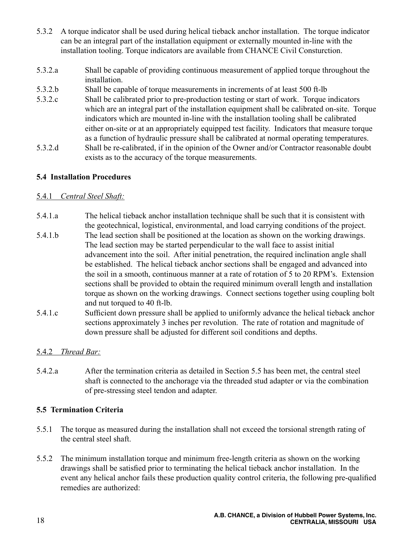- 5.3.2 A torque indicator shall be used during helical tieback anchor installation. The torque indicator can be an integral part of the installation equipment or externally mounted in-line with the installation tooling. Torque indicators are available from CHANCE Civil Consturction.
- 5.3.2.a Shall be capable of providing continuous measurement of applied torque throughout the installation.
- 5.3.2.b Shall be capable of torque measurements in increments of at least 500 ft-lb
- 5.3.2.c Shall be calibrated prior to pre-production testing or start of work. Torque indicators which are an integral part of the installation equipment shall be calibrated on-site. Torque indicators which are mounted in-line with the installation tooling shall be calibrated either on-site or at an appropriately equipped test facility. Indicators that measure torque as a function of hydraulic pressure shall be calibrated at normal operating temperatures.
- 5.3.2.d Shall be re-calibrated, if in the opinion of the Owner and/or Contractor reasonable doubt exists as to the accuracy of the torque measurements.

#### **5.4 Installation Procedures**

#### 5.4.1 *Central Steel Shaft:*

- 5.4.1.a The helical tieback anchor installation technique shall be such that it is consistent with the geotechnical, logistical, environmental, and load carrying conditions of the project.
- 5.4.1.b The lead section shall be positioned at the location as shown on the working drawings. The lead section may be started perpendicular to the wall face to assist initial advancement into the soil. After initial penetration, the required inclination angle shall be established. The helical tieback anchor sections shall be engaged and advanced into the soil in a smooth, continuous manner at a rate of rotation of 5 to 20 RPM's. Extension sections shall be provided to obtain the required minimum overall length and installation torque as shown on the working drawings. Connect sections together using coupling bolt and nut torqued to 40 ft-lb.
- 5.4.1.c Sufficient down pressure shall be applied to uniformly advance the helical tieback anchor sections approximately 3 inches per revolution. The rate of rotation and magnitude of down pressure shall be adjusted for different soil conditions and depths.

#### 5.4.2 *Thread Bar:*

5.4.2.a After the termination criteria as detailed in Section 5.5 has been met, the central steel shaft is connected to the anchorage via the threaded stud adapter or via the combination of pre-stressing steel tendon and adapter.

#### **5.5 Termination Criteria**

- 5.5.1 The torque as measured during the installation shall not exceed the torsional strength rating of the central steel shaft.
- 5.5.2 The minimum installation torque and minimum free-length criteria as shown on the working drawings shall be satisfied prior to terminating the helical tieback anchor installation. In the event any helical anchor fails these production quality control criteria, the following pre-qualified remedies are authorized: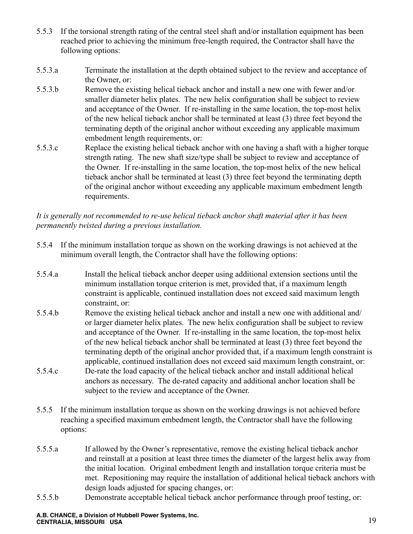- 5.5.3 If the torsional strength rating of the central steel shaft and/or installation equipment has been reached prior to achieving the minimum free-length required, the Contractor shall have the following options:
- 5.5.3.a Terminate the installation at the depth obtained subject to the review and acceptance of the Owner, or:
- 5.5.3.b Remove the existing helical tieback anchor and install a new one with fewer and/or smaller diameter helix plates. The new helix configuration shall be subject to review and acceptance of the Owner. If re-installing in the same location, the top-most helix of the new helical tieback anchor shall be terminated at least (3) three feet beyond the terminating depth of the original anchor without exceeding any applicable maximum embedment length requirements, or:
- 5.5.3.c Replace the existing helical tieback anchor with one having a shaft with a higher torque strength rating. The new shaft size/type shall be subject to review and acceptance of the Owner. If re-installing in the same location, the top-most helix of the new helical tieback anchor shall be terminated at least (3) three feet beyond the terminating depth of the original anchor without exceeding any applicable maximum embedment length requirements.

#### *It is generally not recommended to re-use helical tieback anchor shaft material after it has been permanently twisted during a previous installation.*

- 5.5.4 If the minimum installation torque as shown on the working drawings is not achieved at the minimum overall length, the Contractor shall have the following options:
- 5.5.4.a Install the helical tieback anchor deeper using additional extension sections until the minimum installation torque criterion is met, provided that, if a maximum length constraint is applicable, continued installation does not exceed said maximum length constraint, or:
- 5.5.4.b Remove the existing helical tieback anchor and install a new one with additional and/ or larger diameter helix plates. The new helix configuration shall be subject to review and acceptance of the Owner. If re-installing in the same location, the top-most helix of the new helical tieback anchor shall be terminated at least (3) three feet beyond the terminating depth of the original anchor provided that, if a maximum length constraint is applicable, continued installation does not exceed said maximum length constraint, or:
- 5.5.4.c De-rate the load capacity of the helical tieback anchor and install additional helical anchors as necessary. The de-rated capacity and additional anchor location shall be subject to the review and acceptance of the Owner.
- 5.5.5 If the minimum installation torque as shown on the working drawings is not achieved before reaching a specified maximum embedment length, the Contractor shall have the following options:
- 5.5.5.a If allowed by the Owner's representative, remove the existing helical tieback anchor and reinstall at a position at least three times the diameter of the largest helix away from the initial location. Original embedment length and installation torque criteria must be met. Repositioning may require the installation of additional helical tieback anchors with design loads adjusted for spacing changes, or:
- 5.5.5.b Demonstrate acceptable helical tieback anchor performance through proof testing, or: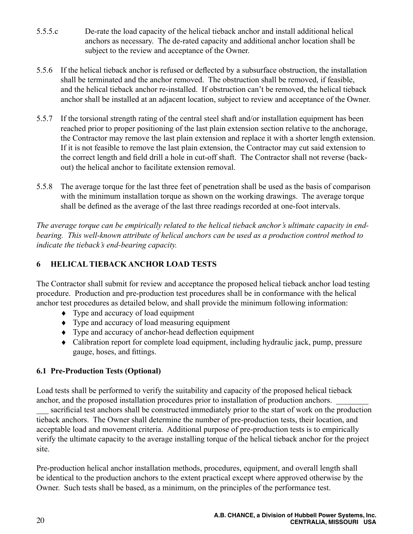- 5.5.5.c De-rate the load capacity of the helical tieback anchor and install additional helical anchors as necessary. The de-rated capacity and additional anchor location shall be subject to the review and acceptance of the Owner.
- 5.5.6 If the helical tieback anchor is refused or deflected by a subsurface obstruction, the installation shall be terminated and the anchor removed. The obstruction shall be removed, if feasible, and the helical tieback anchor re-installed. If obstruction can't be removed, the helical tieback anchor shall be installed at an adjacent location, subject to review and acceptance of the Owner.
- 5.5.7 If the torsional strength rating of the central steel shaft and/or installation equipment has been reached prior to proper positioning of the last plain extension section relative to the anchorage, the Contractor may remove the last plain extension and replace it with a shorter length extension. If it is not feasible to remove the last plain extension, the Contractor may cut said extension to the correct length and field drill a hole in cut-off shaft. The Contractor shall not reverse (backout) the helical anchor to facilitate extension removal.
- 5.5.8 The average torque for the last three feet of penetration shall be used as the basis of comparison with the minimum installation torque as shown on the working drawings. The average torque shall be defined as the average of the last three readings recorded at one-foot intervals.

*The average torque can be empirically related to the helical tieback anchor's ultimate capacity in endbearing. This well-known attribute of helical anchors can be used as a production control method to indicate the tieback's end-bearing capacity.* 

#### **6 HELICAL TIEBACK ANCHOR LOAD TESTS**

The Contractor shall submit for review and acceptance the proposed helical tieback anchor load testing procedure. Production and pre-production test procedures shall be in conformance with the helical anchor test procedures as detailed below, and shall provide the minimum following information:

- Type and accuracy of load equipment
- ♦ Type and accuracy of load measuring equipment
- ♦ Type and accuracy of anchor-head deflection equipment
- Calibration report for complete load equipment, including hydraulic jack, pump, pressure gauge, hoses, and fittings.

#### **6.1 Pre-Production Tests (Optional)**

Load tests shall be performed to verify the suitability and capacity of the proposed helical tieback anchor, and the proposed installation procedures prior to installation of production anchors.

sacrificial test anchors shall be constructed immediately prior to the start of work on the production tieback anchors. The Owner shall determine the number of pre-production tests, their location, and acceptable load and movement criteria. Additional purpose of pre-production tests is to empirically verify the ultimate capacity to the average installing torque of the helical tieback anchor for the project site.

Pre-production helical anchor installation methods, procedures, equipment, and overall length shall be identical to the production anchors to the extent practical except where approved otherwise by the Owner. Such tests shall be based, as a minimum, on the principles of the performance test.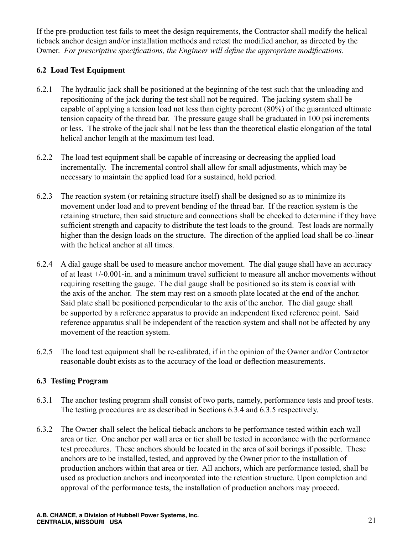If the pre-production test fails to meet the design requirements, the Contractor shall modify the helical tieback anchor design and/or installation methods and retest the modified anchor, as directed by the Owner. *For prescriptive specifications, the Engineer will define the appropriate modifications.*

#### **6.2 Load Test Equipment**

- 6.2.1 The hydraulic jack shall be positioned at the beginning of the test such that the unloading and repositioning of the jack during the test shall not be required. The jacking system shall be capable of applying a tension load not less than eighty percent (80%) of the guaranteed ultimate tension capacity of the thread bar. The pressure gauge shall be graduated in 100 psi increments or less. The stroke of the jack shall not be less than the theoretical elastic elongation of the total helical anchor length at the maximum test load.
- 6.2.2 The load test equipment shall be capable of increasing or decreasing the applied load incrementally. The incremental control shall allow for small adjustments, which may be necessary to maintain the applied load for a sustained, hold period.
- 6.2.3 The reaction system (or retaining structure itself) shall be designed so as to minimize its movement under load and to prevent bending of the thread bar. If the reaction system is the retaining structure, then said structure and connections shall be checked to determine if they have sufficient strength and capacity to distribute the test loads to the ground. Test loads are normally higher than the design loads on the structure. The direction of the applied load shall be co-linear with the helical anchor at all times.
- 6.2.4 A dial gauge shall be used to measure anchor movement. The dial gauge shall have an accuracy of at least +/-0.001-in. and a minimum travel sufficient to measure all anchor movements without requiring resetting the gauge. The dial gauge shall be positioned so its stem is coaxial with the axis of the anchor. The stem may rest on a smooth plate located at the end of the anchor. Said plate shall be positioned perpendicular to the axis of the anchor. The dial gauge shall be supported by a reference apparatus to provide an independent fixed reference point. Said reference apparatus shall be independent of the reaction system and shall not be affected by any movement of the reaction system.
- 6.2.5 The load test equipment shall be re-calibrated, if in the opinion of the Owner and/or Contractor reasonable doubt exists as to the accuracy of the load or deflection measurements.

#### **6.3 Testing Program**

- 6.3.1 The anchor testing program shall consist of two parts, namely, performance tests and proof tests. The testing procedures are as described in Sections 6.3.4 and 6.3.5 respectively.
- 6.3.2 The Owner shall select the helical tieback anchors to be performance tested within each wall area or tier. One anchor per wall area or tier shall be tested in accordance with the performance test procedures. These anchors should be located in the area of soil borings if possible. These anchors are to be installed, tested, and approved by the Owner prior to the installation of production anchors within that area or tier. All anchors, which are performance tested, shall be used as production anchors and incorporated into the retention structure. Upon completion and approval of the performance tests, the installation of production anchors may proceed.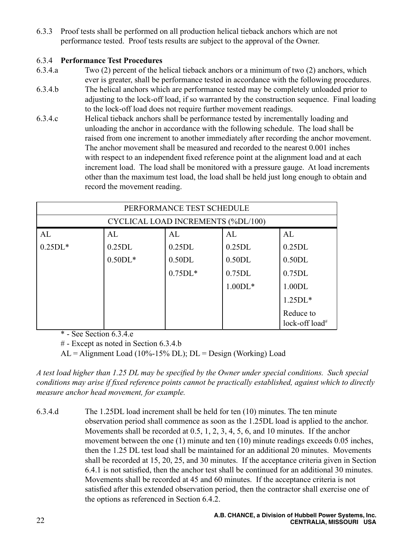6.3.3 Proof tests shall be performed on all production helical tieback anchors which are not performance tested. Proof tests results are subject to the approval of the Owner.

#### 6.3.4 **Performance Test Procedures**

- 6.3.4.a Two (2) percent of the helical tieback anchors or a minimum of two (2) anchors, which ever is greater, shall be performance tested in accordance with the following procedures.
- 6.3.4.b The helical anchors which are performance tested may be completely unloaded prior to adjusting to the lock-off load, if so warranted by the construction sequence. Final loading to the lock-off load does not require further movement readings.
- 6.3.4.c Helical tieback anchors shall be performance tested by incrementally loading and unloading the anchor in accordance with the following schedule. The load shall be raised from one increment to another immediately after recording the anchor movement. The anchor movement shall be measured and recorded to the nearest 0.001 inches with respect to an independent fixed reference point at the alignment load and at each increment load. The load shall be monitored with a pressure gauge. At load increments other than the maximum test load, the load shall be held just long enough to obtain and record the movement reading.

| PERFORMANCE TEST SCHEDULE          |           |           |           |                                         |  |
|------------------------------------|-----------|-----------|-----------|-----------------------------------------|--|
| CYCLICAL LOAD INCREMENTS (%DL/100) |           |           |           |                                         |  |
| AL                                 | AL        | AL        | AL        | AI                                      |  |
| $0.25DL*$                          | 0.25DL    | 0.25DL    | 0.25DL    | 0.25DL                                  |  |
|                                    | $0.50DL*$ | 0.50DL    | 0.50DL    | 0.50DL                                  |  |
|                                    |           | $0.75DL*$ | 0.75DL    | 0.75DL                                  |  |
|                                    |           |           | $1.00DL*$ | 1.00DL                                  |  |
|                                    |           |           |           | $1.25DL*$                               |  |
|                                    |           |           |           | Reduce to<br>lock-off load <sup>#</sup> |  |

\* - See Section 6.3.4.e

# - Except as noted in Section 6.3.4.b

 $AL =$  Alignment Load (10%-15% DL);  $DL =$  Design (Working) Load

*A test load higher than 1.25 DL may be specified by the Owner under special conditions. Such special conditions may arise if fixed reference points cannot be practically established, against which to directly measure anchor head movement, for example.*

6.3.4.d The 1.25DL load increment shall be held for ten (10) minutes. The ten minute observation period shall commence as soon as the 1.25DL load is applied to the anchor. Movements shall be recorded at 0.5, 1, 2, 3, 4, 5, 6, and 10 minutes. If the anchor movement between the one (1) minute and ten (10) minute readings exceeds 0.05 inches, then the 1.25 DL test load shall be maintained for an additional 20 minutes. Movements shall be recorded at 15, 20, 25, and 30 minutes. If the acceptance criteria given in Section 6.4.1 is not satisfied, then the anchor test shall be continued for an additional 30 minutes. Movements shall be recorded at 45 and 60 minutes. If the acceptance criteria is not satisfied after this extended observation period, then the contractor shall exercise one of the options as referenced in Section 6.4.2.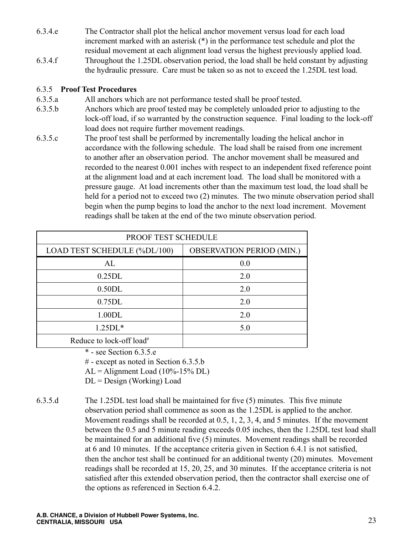- 6.3.4.e The Contractor shall plot the helical anchor movement versus load for each load increment marked with an asterisk (\*) in the performance test schedule and plot the residual movement at each alignment load versus the highest previously applied load.
- 6.3.4.f Throughout the 1.25DL observation period, the load shall be held constant by adjusting the hydraulic pressure. Care must be taken so as not to exceed the 1.25DL test load.

#### 6.3.5 **Proof Test Procedures**

- 6.3.5.a All anchors which are not performance tested shall be proof tested.
- 6.3.5.b Anchors which are proof tested may be completely unloaded prior to adjusting to the lock-off load, if so warranted by the construction sequence. Final loading to the lock-off load does not require further movement readings.
- 6.3.5.c The proof test shall be performed by incrementally loading the helical anchor in accordance with the following schedule. The load shall be raised from one increment to another after an observation period. The anchor movement shall be measured and recorded to the nearest 0.001 inches with respect to an independent fixed reference point at the alignment load and at each increment load. The load shall be monitored with a pressure gauge. At load increments other than the maximum test load, the load shall be held for a period not to exceed two (2) minutes. The two minute observation period shall begin when the pump begins to load the anchor to the next load increment. Movement readings shall be taken at the end of the two minute observation period.

| <b>PROOF TEST SCHEDULE</b>           |                                  |  |  |  |
|--------------------------------------|----------------------------------|--|--|--|
| LOAD TEST SCHEDULE (%DL/100)         | <b>OBSERVATION PERIOD (MIN.)</b> |  |  |  |
| AL                                   | 0.0                              |  |  |  |
| 0.25DL                               | 2.0                              |  |  |  |
| 0.50DL                               | 2.0                              |  |  |  |
| 0.75DL                               | 2.0                              |  |  |  |
| 1.00DL                               | 2.0                              |  |  |  |
| $1.25DL*$                            | 5.0                              |  |  |  |
| Reduce to lock-off load <sup>#</sup> |                                  |  |  |  |

\* - see Section 6.3.5.e

# - except as noted in Section 6.3.5.b

 $AL =$  Alignment Load (10%-15% DL)

DL = Design (Working) Load

6.3.5.d The 1.25DL test load shall be maintained for five (5) minutes. This five minute observation period shall commence as soon as the 1.25DL is applied to the anchor. Movement readings shall be recorded at 0.5, 1, 2, 3, 4, and 5 minutes. If the movement between the 0.5 and 5 minute reading exceeds 0.05 inches, then the 1.25DL test load shall be maintained for an additional five (5) minutes. Movement readings shall be recorded at 6 and 10 minutes. If the acceptance criteria given in Section 6.4.1 is not satisfied, then the anchor test shall be continued for an additional twenty (20) minutes. Movement readings shall be recorded at 15, 20, 25, and 30 minutes. If the acceptance criteria is not satisfied after this extended observation period, then the contractor shall exercise one of the options as referenced in Section 6.4.2.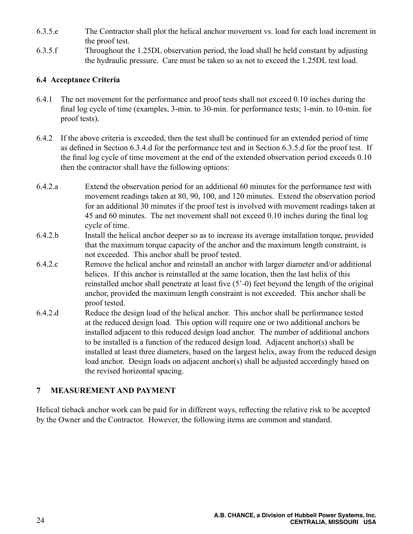- 6.3.5.e The Contractor shall plot the helical anchor movement vs. load for each load increment in the proof test.
- 6.3.5.f Throughout the 1.25DL observation period, the load shall be held constant by adjusting the hydraulic pressure. Care must be taken so as not to exceed the 1.25DL test load.

#### **6.4 Acceptance Criteria**

- 6.4.1 The net movement for the performance and proof tests shall not exceed 0.10 inches during the final log cycle of time (examples, 3-min. to 30-min. for performance tests; 1-min. to 10-min. for proof tests).
- 6.4.2 If the above criteria is exceeded, then the test shall be continued for an extended period of time as defined in Section 6.3.4.d for the performance test and in Section 6.3.5.d for the proof test. If the final log cycle of time movement at the end of the extended observation period exceeds 0.10 then the contractor shall have the following options:
- 6.4.2.a Extend the observation period for an additional 60 minutes for the performance test with movement readings taken at 80, 90, 100, and 120 minutes. Extend the observation period for an additional 30 minutes if the proof test is involved with movement readings taken at 45 and 60 minutes. The net movement shall not exceed 0.10 inches during the final log cycle of time.
- 6.4.2.b Install the helical anchor deeper so as to increase its average installation torque, provided that the maximum torque capacity of the anchor and the maximum length constraint, is not exceeded. This anchor shall be proof tested.
- 6.4.2.c Remove the helical anchor and reinstall an anchor with larger diameter and/or additional helices. If this anchor is reinstalled at the same location, then the last helix of this reinstalled anchor shall penetrate at least five (5'-0) feet beyond the length of the original anchor, provided the maximum length constraint is not exceeded. This anchor shall be proof tested.
- 6.4.2.d Reduce the design load of the helical anchor. This anchor shall be performance tested at the reduced design load. This option will require one or two additional anchors be installed adjacent to this reduced design load anchor. The number of additional anchors to be installed is a function of the reduced design load. Adjacent anchor(s) shall be installed at least three diameters, based on the largest helix, away from the reduced design load anchor. Design loads on adjacent anchor(s) shall be adjusted accordingly based on the revised horizontal spacing.

#### **7 MEASUREMENT AND PAYMENT**

Helical tieback anchor work can be paid for in different ways, reflecting the relative risk to be accepted by the Owner and the Contractor. However, the following items are common and standard.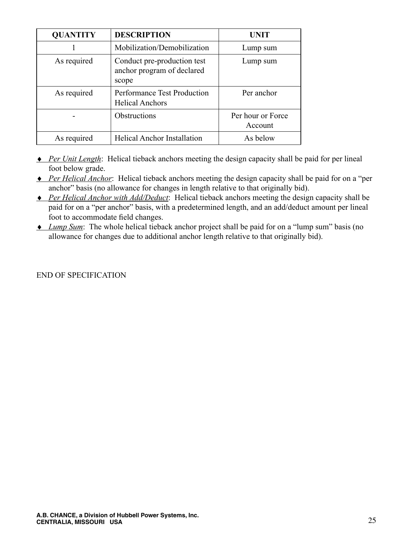| <b>QUANTITY</b> | <b>DESCRIPTION</b>                                                 | UNIT                         |
|-----------------|--------------------------------------------------------------------|------------------------------|
|                 | Mobilization/Demobilization                                        | Lump sum                     |
| As required     | Conduct pre-production test<br>anchor program of declared<br>scope | Lump sum                     |
| As required     | <b>Performance Test Production</b><br><b>Helical Anchors</b>       | Per anchor                   |
|                 | <b>Obstructions</b>                                                | Per hour or Force<br>Account |
| As required     | <b>Helical Anchor Installation</b>                                 | As below                     |

- **•** *Per Unit Length*: Helical tieback anchors meeting the design capacity shall be paid for per lineal foot below grade.
- **•** *Per Helical Anchor*: Helical tieback anchors meeting the design capacity shall be paid for on a "per" anchor" basis (no allowance for changes in length relative to that originally bid).
- ♦ *Per Helical Anchor with Add/Deduct*: Helical tieback anchors meeting the design capacity shall be paid for on a "per anchor" basis, with a predetermined length, and an add/deduct amount per lineal foot to accommodate field changes.
- ♦ *Lump Sum*: The whole helical tieback anchor project shall be paid for on a "lump sum" basis (no allowance for changes due to additional anchor length relative to that originally bid).

#### END OF SPECIFICATION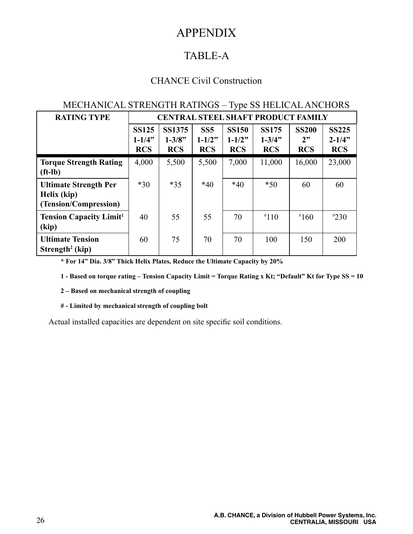## APPENDIX

### TABLE-A

#### CHANCE Civil Construction

#### MECHANICAL STRENGTH RATINGS – Type SS HELICAL ANCHORS

| <b>RATING TYPE</b>                                                   | <b>CENTRAL STEEL SHAFT PRODUCT FAMILY</b> |                                            |                                 |                                           |                                          |                                  |                                           |
|----------------------------------------------------------------------|-------------------------------------------|--------------------------------------------|---------------------------------|-------------------------------------------|------------------------------------------|----------------------------------|-------------------------------------------|
|                                                                      | <b>SS125</b><br>$1 - 1/4$ "<br><b>RCS</b> | <b>SS1375</b><br>$1 - 3/8$ "<br><b>RCS</b> | SS5<br>$1 - 1/2"$<br><b>RCS</b> | <b>SS150</b><br>$1 - 1/2$ "<br><b>RCS</b> | <b>SS175</b><br>$1 - 3/4"$<br><b>RCS</b> | <b>SS200</b><br>2"<br><b>RCS</b> | <b>SS225</b><br>$2 - 1/4$ "<br><b>RCS</b> |
| <b>Torque Strength Rating</b><br>$(ft-lb)$                           | 4,000                                     | 5,500                                      | 5,500                           | 7,000                                     | 11,000                                   | 16,000                           | 23,000                                    |
| <b>Ultimate Strength Per</b><br>Helix (kip)<br>(Tension/Compression) | $*30$                                     | $*35$                                      | $*40$                           | $*40$                                     | $*50$                                    | 60                               | 60                                        |
| <b>Tension Capacity Limit<sup>1</sup></b><br>(kip)                   | 40                                        | 55                                         | 55                              | 70                                        | $*110$                                   | $*160$                           | $*230$                                    |
| <b>Ultimate Tension</b><br>Strength <sup>2</sup> (kip)               | 60                                        | 75                                         | 70                              | 70                                        | 100                                      | 150                              | 200                                       |

**\* For 14" Dia. 3/8" Thick Helix Plates, Reduce the Ultimate Capacity by 20%**

**1 - Based on torque rating – Tension Capacity Limit = Torque Rating x Kt; "Default" Kt for Type SS = 10** 

**2 – Based on mechanical strength of coupling**

**# - Limited by mechanical strength of coupling bolt** 

Actual installed capacities are dependent on site specific soil conditions.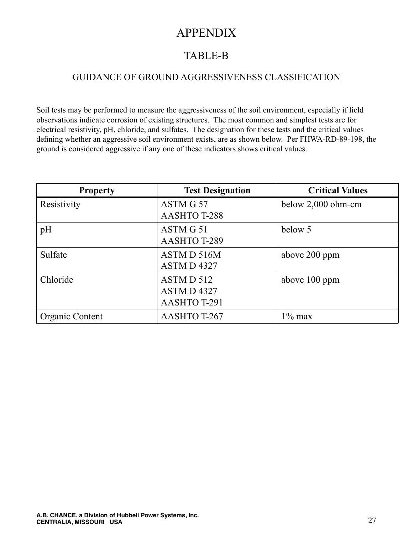## APPENDIX

## TABLE-B

#### GUIDANCE OF GROUND AGGRESSIVENESS CLASSIFICATION

Soil tests may be performed to measure the aggressiveness of the soil environment, especially if field observations indicate corrosion of existing structures. The most common and simplest tests are for electrical resistivity, pH, chloride, and sulfates. The designation for these tests and the critical values defining whether an aggressive soil environment exists, are as shown below. Per FHWA-RD-89-198, the ground is considered aggressive if any one of these indicators shows critical values.

| <b>Property</b> | <b>Test Designation</b> | <b>Critical Values</b> |
|-----------------|-------------------------|------------------------|
| Resistivity     | ASTM G 57               | below $2,000$ ohm-cm   |
|                 | <b>AASHTO T-288</b>     |                        |
| pH              | ASTM G 51               | below 5                |
|                 | AASHTO T-289            |                        |
| Sulfate         | ASTM D 516M             | above 200 ppm          |
|                 | ASTM D4327              |                        |
| Chloride        | ASTM D 512              | above 100 ppm          |
|                 | ASTM D4327              |                        |
|                 | AASHTO T-291            |                        |
| Organic Content | AASHTO T-267            | $1\%$ max              |